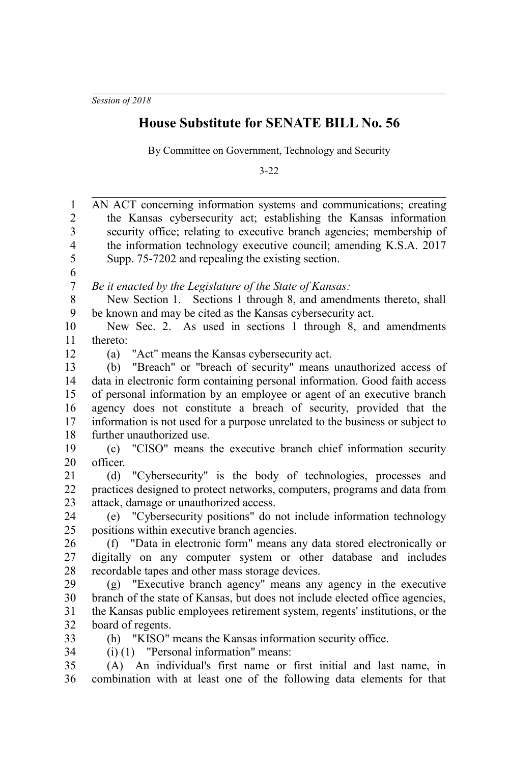*Session of 2018*

## **House Substitute for SENATE BILL No. 56**

By Committee on Government, Technology and Security

3-22

| $\mathbf{1}$     | AN ACT concerning information systems and communications; creating                                           |
|------------------|--------------------------------------------------------------------------------------------------------------|
| $\overline{2}$   | the Kansas cybersecurity act; establishing the Kansas information                                            |
| 3                | security office; relating to executive branch agencies; membership of                                        |
| $\overline{4}$   | the information technology executive council; amending K.S.A. 2017                                           |
| 5                | Supp. 75-7202 and repealing the existing section.                                                            |
| 6                |                                                                                                              |
| $\boldsymbol{7}$ | Be it enacted by the Legislature of the State of Kansas:                                                     |
| $8\,$            | New Section 1. Sections 1 through 8, and amendments thereto, shall                                           |
| 9                | be known and may be cited as the Kansas cybersecurity act.                                                   |
| 10               | New Sec. 2. As used in sections 1 through 8, and amendments                                                  |
| 11               | thereto:                                                                                                     |
| 12               | "Act" means the Kansas cybersecurity act.<br>(a)                                                             |
| 13               | (b) "Breach" or "breach of security" means unauthorized access of                                            |
| 14               | data in electronic form containing personal information. Good faith access                                   |
| 15               | of personal information by an employee or agent of an executive branch                                       |
| 16               | agency does not constitute a breach of security, provided that the                                           |
| 17               | information is not used for a purpose unrelated to the business or subject to                                |
| 18               | further unauthorized use.                                                                                    |
| 19               | (c) "CISO" means the executive branch chief information security                                             |
| 20               | officer.                                                                                                     |
| 21               | (d) "Cybersecurity" is the body of technologies, processes and                                               |
| 22               | practices designed to protect networks, computers, programs and data from                                    |
| 23               | attack, damage or unauthorized access.                                                                       |
| 24               | (e) "Cybersecurity positions" do not include information technology                                          |
| 25               | positions within executive branch agencies.                                                                  |
| 26               | (f) "Data in electronic form" means any data stored electronically or                                        |
| 27               | digitally on any computer system or other database and includes                                              |
| 28               | recordable tapes and other mass storage devices.                                                             |
| 29               | (g) "Executive branch agency" means any agency in the executive                                              |
| 30               | branch of the state of Kansas, but does not include elected office agencies,                                 |
| 31               | the Kansas public employees retirement system, regents' institutions, or the                                 |
| 32               | board of regents.                                                                                            |
| 33               | (h) "KISO" means the Kansas information security office.                                                     |
| 34<br>35         | $(i)$ (1) "Personal information" means:<br>(A) An individual's first name or first initial and last name, in |
| 36               | combination with at least one of the following data elements for that                                        |
|                  |                                                                                                              |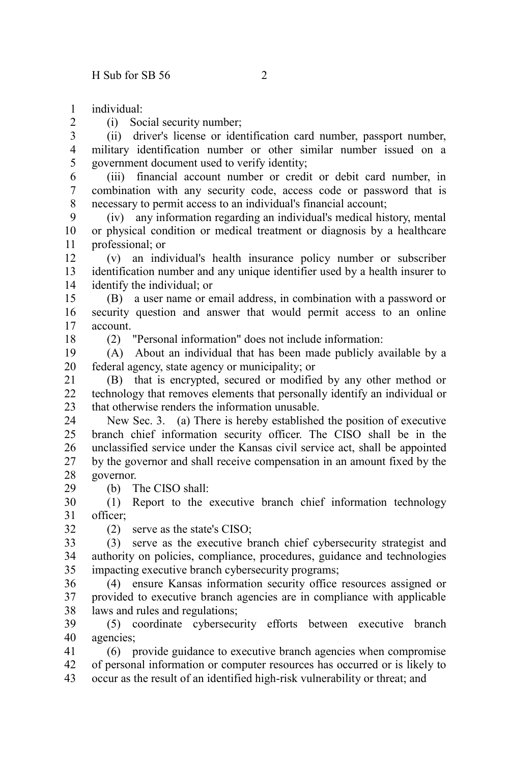individual: 1

 $\mathcal{L}$ 

(i) Social security number;

(ii) driver's license or identification card number, passport number, military identification number or other similar number issued on a government document used to verify identity; 3 4 5

(iii) financial account number or credit or debit card number, in combination with any security code, access code or password that is necessary to permit access to an individual's financial account; 6 7 8

(iv) any information regarding an individual's medical history, mental or physical condition or medical treatment or diagnosis by a healthcare professional; or 9 10 11

(v) an individual's health insurance policy number or subscriber identification number and any unique identifier used by a health insurer to identify the individual; or 12 13 14

(B) a user name or email address, in combination with a password or security question and answer that would permit access to an online account. 15 16 17

18

(2) "Personal information" does not include information:

(A) About an individual that has been made publicly available by a federal agency, state agency or municipality; or 19 20

(B) that is encrypted, secured or modified by any other method or technology that removes elements that personally identify an individual or that otherwise renders the information unusable. 21  $22$ 23

New Sec. 3. (a) There is hereby established the position of executive branch chief information security officer. The CISO shall be in the unclassified service under the Kansas civil service act, shall be appointed by the governor and shall receive compensation in an amount fixed by the governor. 24  $25$ 26 27 28

(b) The CISO shall:

(1) Report to the executive branch chief information technology officer; 30 31

32

29

(2) serve as the state's CISO;

(3) serve as the executive branch chief cybersecurity strategist and authority on policies, compliance, procedures, guidance and technologies impacting executive branch cybersecurity programs; 33 34 35

(4) ensure Kansas information security office resources assigned or provided to executive branch agencies are in compliance with applicable laws and rules and regulations; 36 37 38

(5) coordinate cybersecurity efforts between executive branch agencies; 39 40

(6) provide guidance to executive branch agencies when compromise of personal information or computer resources has occurred or is likely to occur as the result of an identified high-risk vulnerability or threat; and 41 42 43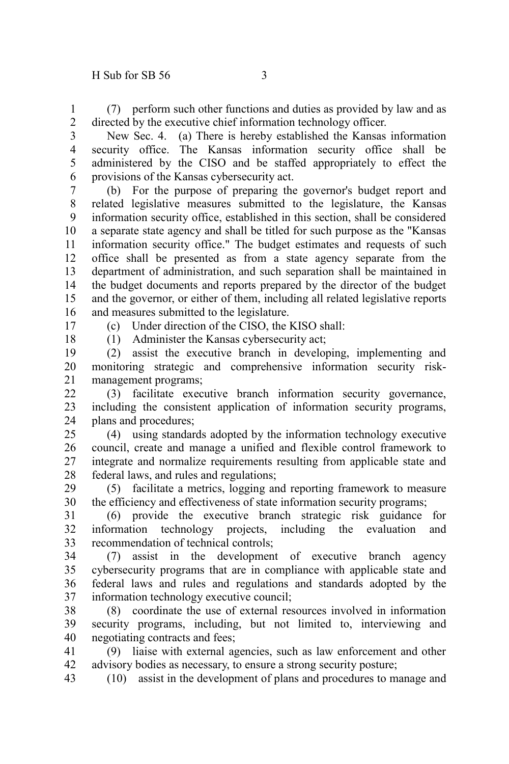18

(7) perform such other functions and duties as provided by law and as directed by the executive chief information technology officer. 1 2

New Sec. 4. (a) There is hereby established the Kansas information security office. The Kansas information security office shall be administered by the CISO and be staffed appropriately to effect the provisions of the Kansas cybersecurity act. 3 4 5 6

(b) For the purpose of preparing the governor's budget report and related legislative measures submitted to the legislature, the Kansas information security office, established in this section, shall be considered a separate state agency and shall be titled for such purpose as the "Kansas information security office." The budget estimates and requests of such office shall be presented as from a state agency separate from the department of administration, and such separation shall be maintained in the budget documents and reports prepared by the director of the budget and the governor, or either of them, including all related legislative reports and measures submitted to the legislature. 7 8 9 10 11 12 13 14 15 16 17

(c) Under direction of the CISO, the KISO shall:

(1) Administer the Kansas cybersecurity act;

(2) assist the executive branch in developing, implementing and monitoring strategic and comprehensive information security riskmanagement programs; 19 20 21

(3) facilitate executive branch information security governance, including the consistent application of information security programs, plans and procedures;  $22$ 23 24

(4) using standards adopted by the information technology executive council, create and manage a unified and flexible control framework to integrate and normalize requirements resulting from applicable state and federal laws, and rules and regulations; 25 26 27 28

(5) facilitate a metrics, logging and reporting framework to measure the efficiency and effectiveness of state information security programs; 29 30

(6) provide the executive branch strategic risk guidance for information technology projects, including the evaluation and recommendation of technical controls; 31 32 33

(7) assist in the development of executive branch agency cybersecurity programs that are in compliance with applicable state and federal laws and rules and regulations and standards adopted by the information technology executive council; 34 35 36 37

(8) coordinate the use of external resources involved in information security programs, including, but not limited to, interviewing and negotiating contracts and fees; 38 39 40

(9) liaise with external agencies, such as law enforcement and other advisory bodies as necessary, to ensure a strong security posture; 41 42

(10) assist in the development of plans and procedures to manage and 43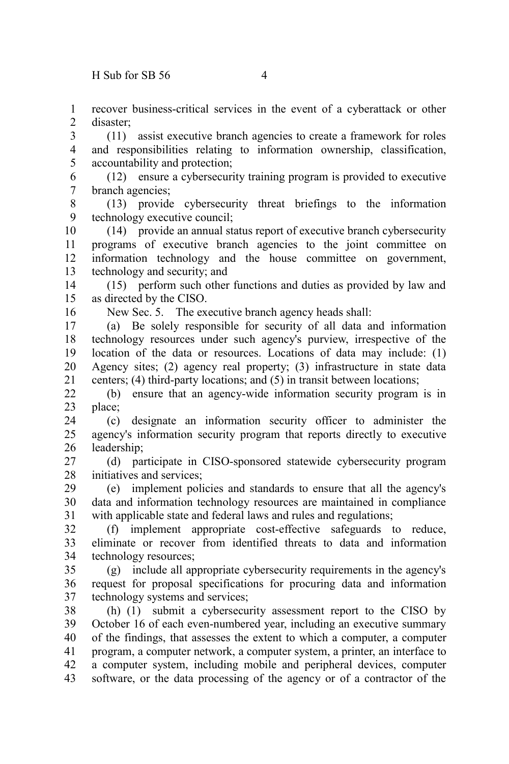recover business-critical services in the event of a cyberattack or other disaster; 1  $\mathcal{L}$ 

(11) assist executive branch agencies to create a framework for roles and responsibilities relating to information ownership, classification, accountability and protection; 3 4 5

(12) ensure a cybersecurity training program is provided to executive branch agencies; 6 7

(13) provide cybersecurity threat briefings to the information technology executive council; 8 9

(14) provide an annual status report of executive branch cybersecurity programs of executive branch agencies to the joint committee on information technology and the house committee on government, technology and security; and 10 11 12 13

(15) perform such other functions and duties as provided by law and as directed by the CISO. 14 15

16

New Sec. 5. The executive branch agency heads shall:

(a) Be solely responsible for security of all data and information technology resources under such agency's purview, irrespective of the location of the data or resources. Locations of data may include: (1) Agency sites; (2) agency real property; (3) infrastructure in state data centers; (4) third-party locations; and (5) in transit between locations; 17 18 19 20 21

(b) ensure that an agency-wide information security program is in place; 22 23

(c) designate an information security officer to administer the agency's information security program that reports directly to executive leadership; 24 25 26

(d) participate in CISO-sponsored statewide cybersecurity program initiatives and services; 27 28

(e) implement policies and standards to ensure that all the agency's data and information technology resources are maintained in compliance with applicable state and federal laws and rules and regulations; 29 30 31

(f) implement appropriate cost-effective safeguards to reduce, eliminate or recover from identified threats to data and information technology resources; 32 33 34

(g) include all appropriate cybersecurity requirements in the agency's request for proposal specifications for procuring data and information technology systems and services; 35 36 37

(h) (1) submit a cybersecurity assessment report to the CISO by October 16 of each even-numbered year, including an executive summary of the findings, that assesses the extent to which a computer, a computer program, a computer network, a computer system, a printer, an interface to a computer system, including mobile and peripheral devices, computer software, or the data processing of the agency or of a contractor of the 38 39 40 41 42 43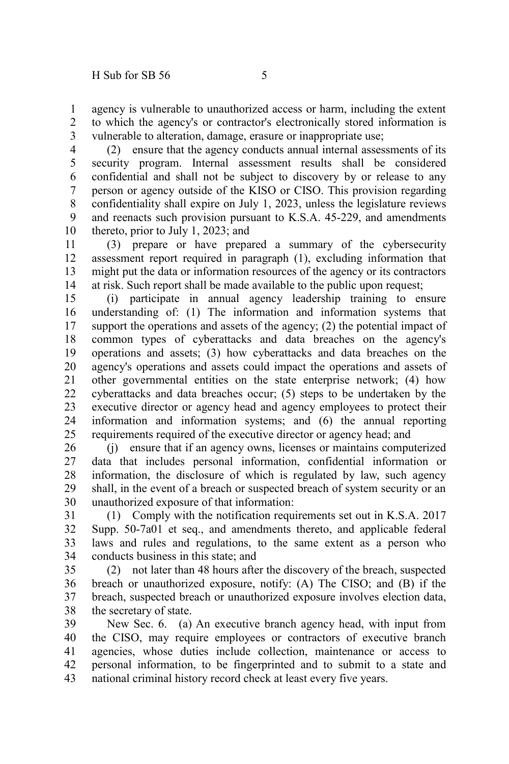agency is vulnerable to unauthorized access or harm, including the extent to which the agency's or contractor's electronically stored information is vulnerable to alteration, damage, erasure or inappropriate use; 1 2 3

(2) ensure that the agency conducts annual internal assessments of its security program. Internal assessment results shall be considered confidential and shall not be subject to discovery by or release to any person or agency outside of the KISO or CISO. This provision regarding confidentiality shall expire on July 1, 2023, unless the legislature reviews and reenacts such provision pursuant to K.S.A. 45-229, and amendments thereto, prior to July 1, 2023; and 4 5 6 7 8 9 10

(3) prepare or have prepared a summary of the cybersecurity assessment report required in paragraph (1), excluding information that might put the data or information resources of the agency or its contractors at risk. Such report shall be made available to the public upon request; 11 12 13 14

(i) participate in annual agency leadership training to ensure understanding of: (1) The information and information systems that support the operations and assets of the agency; (2) the potential impact of common types of cyberattacks and data breaches on the agency's operations and assets; (3) how cyberattacks and data breaches on the agency's operations and assets could impact the operations and assets of other governmental entities on the state enterprise network; (4) how cyberattacks and data breaches occur; (5) steps to be undertaken by the executive director or agency head and agency employees to protect their information and information systems; and (6) the annual reporting requirements required of the executive director or agency head; and 15 16 17 18 19 20 21 22 23 24 25

(j) ensure that if an agency owns, licenses or maintains computerized data that includes personal information, confidential information or information, the disclosure of which is regulated by law, such agency shall, in the event of a breach or suspected breach of system security or an unauthorized exposure of that information: 26 27 28 29 30

(1) Comply with the notification requirements set out in K.S.A. 2017 Supp. 50-7a01 et seq., and amendments thereto, and applicable federal laws and rules and regulations, to the same extent as a person who conducts business in this state; and 31 32 33 34

(2) not later than 48 hours after the discovery of the breach, suspected breach or unauthorized exposure, notify: (A) The CISO; and (B) if the breach, suspected breach or unauthorized exposure involves election data, the secretary of state. 35 36 37 38

New Sec. 6. (a) An executive branch agency head, with input from the CISO, may require employees or contractors of executive branch agencies, whose duties include collection, maintenance or access to personal information, to be fingerprinted and to submit to a state and national criminal history record check at least every five years. 39 40 41 42 43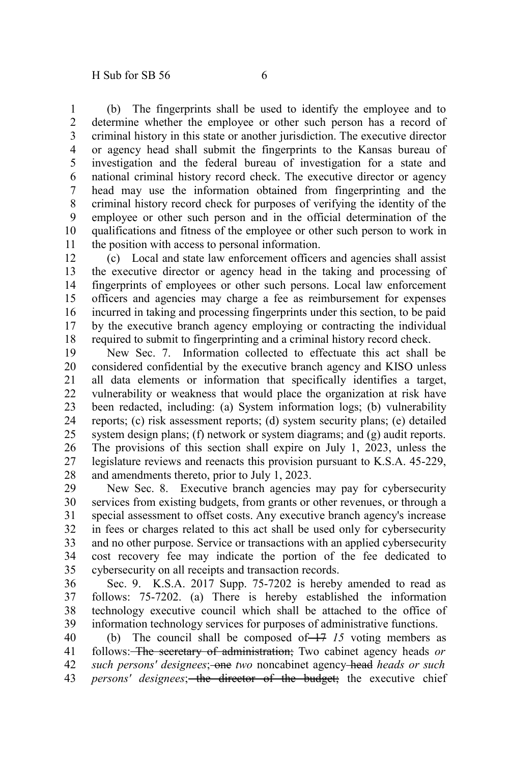(b) The fingerprints shall be used to identify the employee and to determine whether the employee or other such person has a record of criminal history in this state or another jurisdiction. The executive director or agency head shall submit the fingerprints to the Kansas bureau of investigation and the federal bureau of investigation for a state and national criminal history record check. The executive director or agency head may use the information obtained from fingerprinting and the criminal history record check for purposes of verifying the identity of the employee or other such person and in the official determination of the qualifications and fitness of the employee or other such person to work in the position with access to personal information. 1 2 3 4 5 6 7 8 9 10 11

(c) Local and state law enforcement officers and agencies shall assist the executive director or agency head in the taking and processing of fingerprints of employees or other such persons. Local law enforcement officers and agencies may charge a fee as reimbursement for expenses incurred in taking and processing fingerprints under this section, to be paid by the executive branch agency employing or contracting the individual required to submit to fingerprinting and a criminal history record check. 12 13 14 15 16 17 18

New Sec. 7. Information collected to effectuate this act shall be considered confidential by the executive branch agency and KISO unless all data elements or information that specifically identifies a target, vulnerability or weakness that would place the organization at risk have been redacted, including: (a) System information logs; (b) vulnerability reports; (c) risk assessment reports; (d) system security plans; (e) detailed system design plans; (f) network or system diagrams; and (g) audit reports. The provisions of this section shall expire on July 1, 2023, unless the legislature reviews and reenacts this provision pursuant to K.S.A. 45-229, and amendments thereto, prior to July 1, 2023. 19 20 21 22 23 24 25 26 27 28

New Sec. 8. Executive branch agencies may pay for cybersecurity services from existing budgets, from grants or other revenues, or through a special assessment to offset costs. Any executive branch agency's increase in fees or charges related to this act shall be used only for cybersecurity and no other purpose. Service or transactions with an applied cybersecurity cost recovery fee may indicate the portion of the fee dedicated to cybersecurity on all receipts and transaction records. 29 30 31 32 33 34 35

Sec. 9. K.S.A. 2017 Supp. 75-7202 is hereby amended to read as follows: 75-7202. (a) There is hereby established the information technology executive council which shall be attached to the office of information technology services for purposes of administrative functions. 36 37 38 39

(b) The council shall be composed of  $\left(-17\right)$  15 voting members as follows: The secretary of administration; Two cabinet agency heads *or such persons' designees*; one *two* noncabinet agency head *heads or such* persons' designees; the director of the budget; the executive chief 40 41 42 43